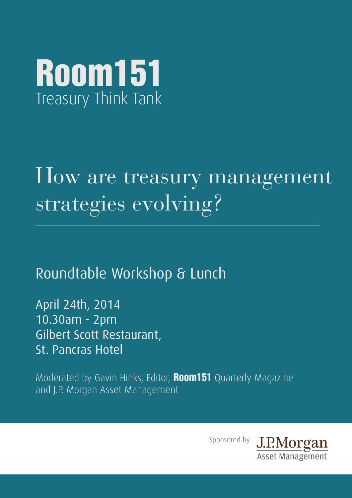

# How are treasury management strategies evolving?

Roundtable Workshop & Lunch

April 24th, 2014 10.30am - 2pm Gilbert Scott Restaurant, St. Pancras Hotel

Moderated by Gavin Hinks, Editor, **Room151** Quarterly Magazine and J.P. Morgan Asset Management